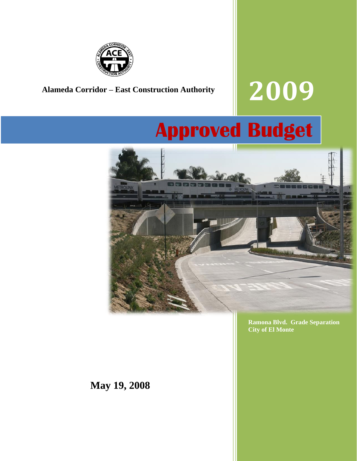

# **Alameda Corridor – East Construction Authority 2009**

## **Approved Budget**



**Ramona Blvd. Grade Separation City of El Monte**

**May 19, 2008**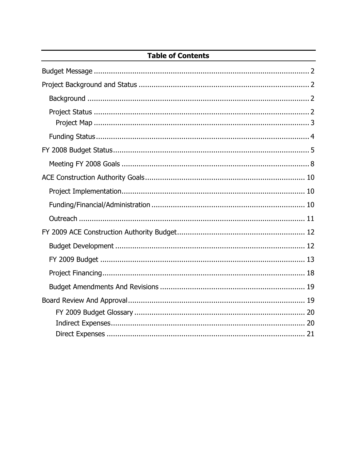#### **Table of Contents**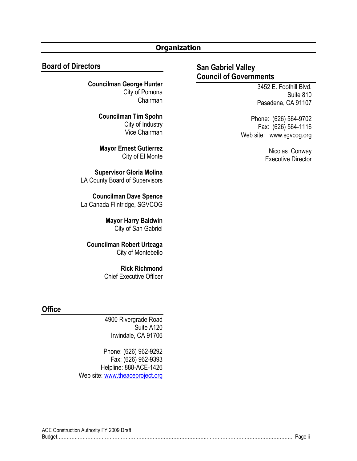#### **Organization**

#### **Board of Directors**

**Councilman George Hunter** City of Pomona Chairman

> **Councilman Tim Spohn** City of Industry Vice Chairman

**Mayor Ernest Gutierrez** City of El Monte

**Supervisor Gloria Molina** LA County Board of Supervisors

**Councilman Dave Spence** La Canada Flintridge, SGVCOG

> **Mayor Harry Baldwin** City of San Gabriel

**Councilman Robert Urteaga** City of Montebello

> **Rick Richmond** Chief Executive Officer

#### **Office**

4900 Rivergrade Road Suite A120 Irwindale, CA 91706

Phone: (626) 962-9292 Fax: (626) 962-9393 Helpline: 888-ACE-1426 Web site: [www.theaceproject.org](http://www.theaceproject.org/)

#### **San Gabriel Valley Council of Governments**

3452 E. Foothill Blvd. Suite 810 Pasadena, CA 91107

Phone: (626) 564-9702 Fax: (626) 564-1116 Web site: www.sgvcog.org

> Nicolas Conway Executive Director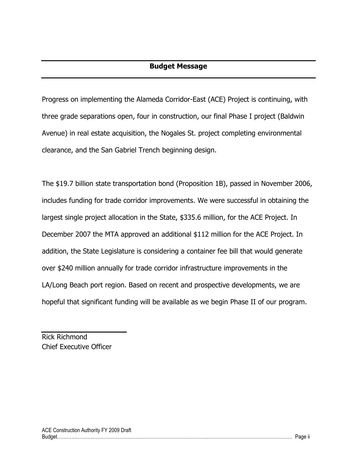<span id="page-3-0"></span>Progress on implementing the Alameda Corridor-East (ACE) Project is continuing, with three grade separations open, four in construction, our final Phase I project (Baldwin Avenue) in real estate acquisition, the Nogales St. project completing environmental clearance, and the San Gabriel Trench beginning design.

The \$19.7 billion state transportation bond (Proposition 1B), passed in November 2006, includes funding for trade corridor improvements. We were successful in obtaining the largest single project allocation in the State, \$335.6 million, for the ACE Project. In December 2007 the MTA approved an additional \$112 million for the ACE Project. In addition, the State Legislature is considering a container fee bill that would generate over \$240 million annually for trade corridor infrastructure improvements in the LA/Long Beach port region. Based on recent and prospective developments, we are hopeful that significant funding will be available as we begin Phase II of our program.

Rick Richmond Chief Executive Officer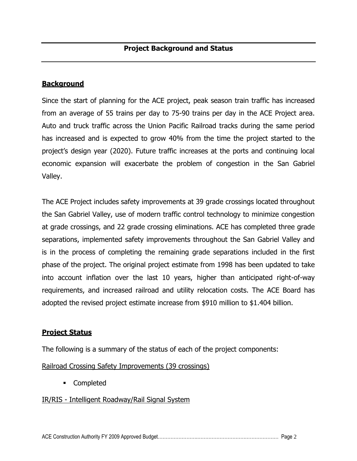#### <span id="page-4-1"></span><span id="page-4-0"></span>**Background**

Since the start of planning for the ACE project, peak season train traffic has increased from an average of 55 trains per day to 75-90 trains per day in the ACE Project area. Auto and truck traffic across the Union Pacific Railroad tracks during the same period has increased and is expected to grow 40% from the time the project started to the project"s design year (2020). Future traffic increases at the ports and continuing local economic expansion will exacerbate the problem of congestion in the San Gabriel Valley.

The ACE Project includes safety improvements at 39 grade crossings located throughout the San Gabriel Valley, use of modern traffic control technology to minimize congestion at grade crossings, and 22 grade crossing eliminations. ACE has completed three grade separations, implemented safety improvements throughout the San Gabriel Valley and is in the process of completing the remaining grade separations included in the first phase of the project. The original project estimate from 1998 has been updated to take into account inflation over the last 10 years, higher than anticipated right-of-way requirements, and increased railroad and utility relocation costs. The ACE Board has adopted the revised project estimate increase from \$910 million to \$1.404 billion.

#### <span id="page-4-2"></span>**Project Status**

The following is a summary of the status of each of the project components:

Railroad Crossing Safety Improvements (39 crossings)

Completed

#### IR/RIS - Intelligent Roadway/Rail Signal System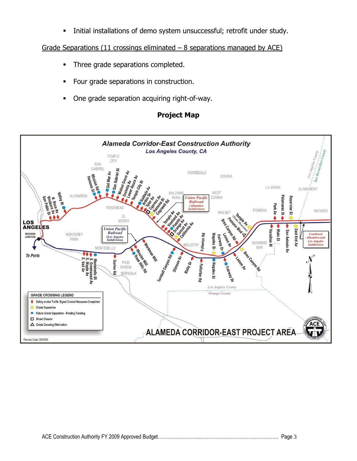Initial installations of demo system unsuccessful; retrofit under study.

Grade Separations (11 crossings eliminated  $-$  8 separations managed by ACE)

- **Three grade separations completed.**
- Four grade separations in construction.
- <span id="page-5-0"></span>One grade separation acquiring right-of-way.

#### **Project Map**

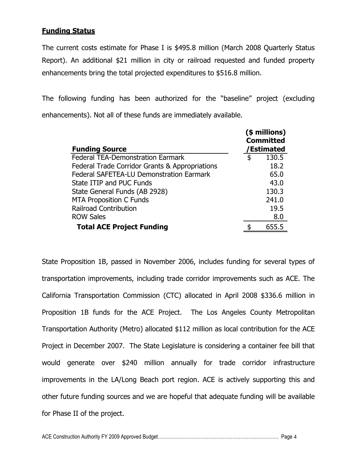#### <span id="page-6-0"></span>**Funding Status**

The current costs estimate for Phase I is \$495.8 million (March 2008 Quarterly Status Report). An additional \$21 million in city or railroad requested and funded property enhancements bring the total projected expenditures to \$516.8 million.

The following funding has been authorized for the "baseline" project (excluding enhancements). Not all of these funds are immediately available.

| <b>Funding Source</b>                           | $($$ millions)<br><b>Committed</b><br>/Estimated |
|-------------------------------------------------|--------------------------------------------------|
| <b>Federal TEA-Demonstration Earmark</b>        | \$<br>130.5                                      |
| Federal Trade Corridor Grants & Appropriations  | 18.2                                             |
| <b>Federal SAFETEA-LU Demonstration Earmark</b> | 65.0                                             |
| State ITIP and PUC Funds                        | 43.0                                             |
| State General Funds (AB 2928)                   | 130.3                                            |
| <b>MTA Proposition C Funds</b>                  | 241.0                                            |
| <b>Railroad Contribution</b>                    | 19.5                                             |
| <b>ROW Sales</b>                                | 8.0                                              |
| <b>Total ACE Project Funding</b>                | 655.5                                            |

State Proposition 1B, passed in November 2006, includes funding for several types of transportation improvements, including trade corridor improvements such as ACE. The California Transportation Commission (CTC) allocated in April 2008 \$336.6 million in Proposition 1B funds for the ACE Project. The Los Angeles County Metropolitan Transportation Authority (Metro) allocated \$112 million as local contribution for the ACE Project in December 2007. The State Legislature is considering a container fee bill that would generate over \$240 million annually for trade corridor infrastructure improvements in the LA/Long Beach port region. ACE is actively supporting this and other future funding sources and we are hopeful that adequate funding will be available for Phase II of the project.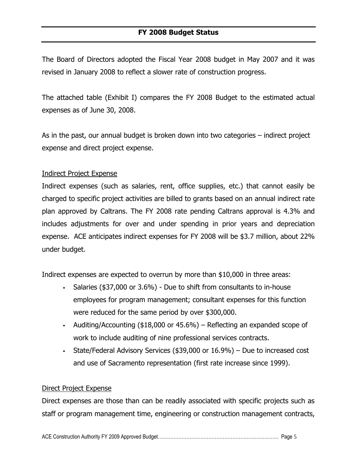<span id="page-7-0"></span>The Board of Directors adopted the Fiscal Year 2008 budget in May 2007 and it was revised in January 2008 to reflect a slower rate of construction progress.

The attached table (Exhibit I) compares the FY 2008 Budget to the estimated actual expenses as of June 30, 2008.

As in the past, our annual budget is broken down into two categories – indirect project expense and direct project expense.

#### Indirect Project Expense

Indirect expenses (such as salaries, rent, office supplies, etc.) that cannot easily be charged to specific project activities are billed to grants based on an annual indirect rate plan approved by Caltrans. The FY 2008 rate pending Caltrans approval is 4.3% and includes adjustments for over and under spending in prior years and depreciation expense. ACE anticipates indirect expenses for FY 2008 will be \$3.7 million, about 22% under budget.

Indirect expenses are expected to overrun by more than \$10,000 in three areas:

- Salaries (\$37,000 or 3.6%) Due to shift from consultants to in-house employees for program management; consultant expenses for this function were reduced for the same period by over \$300,000.
- Auditing/Accounting  $($18,000$  or  $45.6\%)$  Reflecting an expanded scope of work to include auditing of nine professional services contracts.
- State/Federal Advisory Services (\$39,000 or 16.9%) Due to increased cost and use of Sacramento representation (first rate increase since 1999).

#### Direct Project Expense

Direct expenses are those than can be readily associated with specific projects such as staff or program management time, engineering or construction management contracts,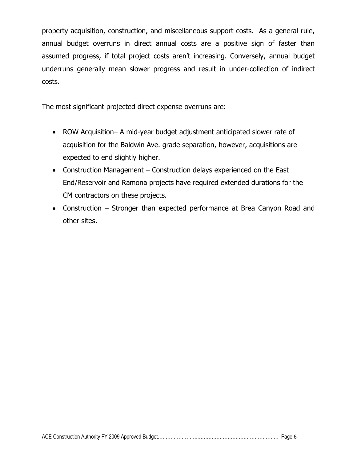property acquisition, construction, and miscellaneous support costs. As a general rule, annual budget overruns in direct annual costs are a positive sign of faster than assumed progress, if total project costs aren't increasing. Conversely, annual budget underruns generally mean slower progress and result in under-collection of indirect costs.

The most significant projected direct expense overruns are:

- ROW Acquisition– A mid-year budget adjustment anticipated slower rate of acquisition for the Baldwin Ave. grade separation, however, acquisitions are expected to end slightly higher.
- Construction Management Construction delays experienced on the East End/Reservoir and Ramona projects have required extended durations for the CM contractors on these projects.
- Construction Stronger than expected performance at Brea Canyon Road and other sites.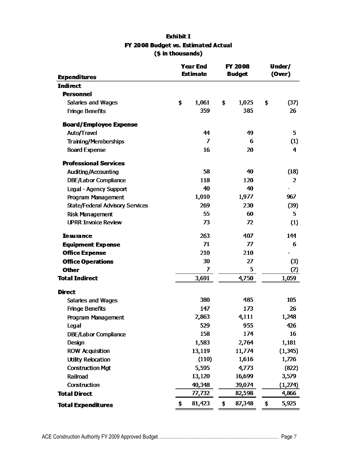| <b>Exhibit I</b>                    |
|-------------------------------------|
| FY 2008 Budget vs. Estimated Actual |
| (\$ in thousands)                   |

|                                        | <b>Year End</b> |        |               | <b>FY 2008</b> | Under/ |                |
|----------------------------------------|-----------------|--------|---------------|----------------|--------|----------------|
| <b>Expenditures</b>                    | <b>Estimate</b> |        | <b>Budget</b> |                | (Over) |                |
| <b>Indirect</b>                        |                 |        |               |                |        |                |
| <b>Personnel</b>                       |                 |        |               |                |        |                |
| Salaries and Wages                     | \$              | 1,061  | \$            | 1,025          | \$     | (37)           |
| <b>Fringe Benefits</b>                 |                 | 359    |               | 385            |        | 26             |
| <b>Board/Employee Expense</b>          |                 |        |               |                |        |                |
| Auto/Travel                            |                 | 44     |               | 49             |        | 5              |
| <b>Training/Memberships</b>            |                 | 7      |               | 6              |        | (1)            |
| <b>Board Expense</b>                   |                 | 16     |               | 20             |        | $\overline{4}$ |
| <b>Professional Services</b>           |                 |        |               |                |        |                |
| Auditing/Accounting                    |                 | 58     |               | 40             |        | (18)           |
| DBE/Labor Compliance                   |                 | 118    |               | 120            |        | $\overline{2}$ |
| Legal - Agency Support                 |                 | 40     |               | 40             |        |                |
| Program Management                     |                 | 1,010  |               | 1,977          |        | 967            |
| <b>State/Federal Advisory Services</b> |                 | 269    |               | 230            |        | (39)           |
| <b>Risk Management</b>                 |                 | 55     |               | 60             |        | 5              |
| <b>UPRR Invoice Review</b>             |                 | 73     |               | 72             |        | (1)            |
| <b>Insurance</b>                       |                 | 263    |               | 407            |        | 144            |
| <b>Equipment Expense</b>               |                 | 71     |               | 77             |        | 6              |
| <b>Office Expense</b>                  |                 | 210    |               | 210            |        |                |
| <b>Office Operations</b>               |                 | 30     |               | 27             |        | (3)            |
| <b>Other</b>                           |                 | 7      |               | 5              |        | (2)            |
| <b>Total Indirect</b>                  |                 | 3,691  |               | 4,750          |        | 1,059          |
| <b>Direct</b>                          |                 |        |               |                |        |                |
| Salaries and Wages                     |                 | 380    |               | 485            |        | 105            |
| <b>Fringe Benefits</b>                 |                 | 147    |               | 173            |        | 26             |
| Program Management                     |                 | 2,863  |               | 4,111          |        | 1,248          |
| Legal                                  |                 | 529    |               | 955            |        | 426            |
| <b>DBE/Labor Compliance</b>            |                 | 158    |               | 174            |        | 16             |
| Design                                 |                 | 1,583  |               | 2,764          |        | 1,181          |
| <b>ROW Acquisition</b>                 |                 | 13,119 |               | 11,774         |        | (1, 345)       |
| <b>Utility Relocation</b>              |                 | (110)  |               | 1,616          |        | 1,726          |
| <b>Construction Mgt</b>                |                 | 5,595  |               | 4,773          |        | (822)          |
| Railroad                               |                 | 13,120 |               | 16,699         |        | 3,579          |
| Construction                           |                 | 40,348 |               | 39,074         |        | (1,274)        |
| <b>Total Direct</b>                    |                 | 77,732 |               | 82,598         |        | 4,866          |
| <b>Total Expenditures</b>              | \$              | 81,423 | \$            | 87,348         | \$     | 5,925          |
|                                        |                 |        |               |                |        |                |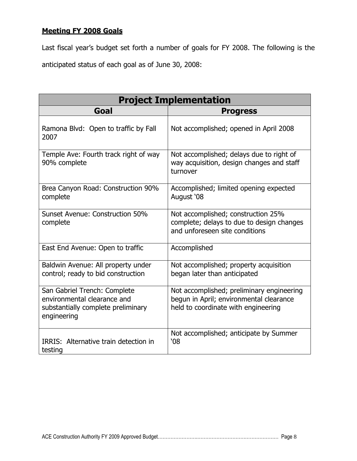#### <span id="page-10-0"></span>**Meeting FY 2008 Goals**

Last fiscal year"s budget set forth a number of goals for FY 2008. The following is the anticipated status of each goal as of June 30, 2008:

| <b>Project Implementation</b>                                                                                    |                                                                                                                             |  |  |  |
|------------------------------------------------------------------------------------------------------------------|-----------------------------------------------------------------------------------------------------------------------------|--|--|--|
| Goal                                                                                                             | <b>Progress</b>                                                                                                             |  |  |  |
| Ramona Blvd: Open to traffic by Fall<br>2007                                                                     | Not accomplished; opened in April 2008                                                                                      |  |  |  |
| Temple Ave: Fourth track right of way<br>90% complete                                                            | Not accomplished; delays due to right of<br>way acquisition, design changes and staff<br>turnover                           |  |  |  |
| Brea Canyon Road: Construction 90%<br>complete                                                                   | Accomplished; limited opening expected<br>August '08                                                                        |  |  |  |
| Sunset Avenue: Construction 50%<br>complete                                                                      | Not accomplished; construction 25%<br>complete; delays to due to design changes<br>and unforeseen site conditions           |  |  |  |
| East End Avenue: Open to traffic                                                                                 | Accomplished                                                                                                                |  |  |  |
| Baldwin Avenue: All property under<br>control; ready to bid construction                                         | Not accomplished; property acquisition<br>began later than anticipated                                                      |  |  |  |
| San Gabriel Trench: Complete<br>environmental clearance and<br>substantially complete preliminary<br>engineering | Not accomplished; preliminary engineering<br>begun in April; environmental clearance<br>held to coordinate with engineering |  |  |  |
| IRRIS: Alternative train detection in<br>testing                                                                 | Not accomplished; anticipate by Summer<br>08'                                                                               |  |  |  |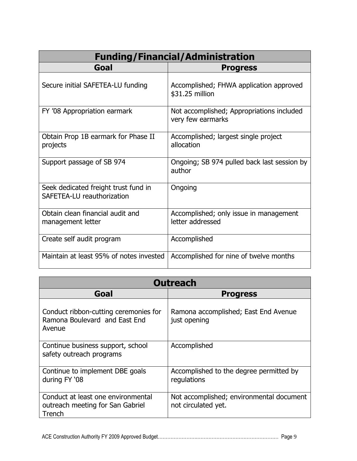| <b>Funding/Financial/Administration</b>                            |                                                                |  |  |  |  |
|--------------------------------------------------------------------|----------------------------------------------------------------|--|--|--|--|
| Goal                                                               | <b>Progress</b>                                                |  |  |  |  |
| Secure initial SAFETEA-LU funding                                  | Accomplished; FHWA application approved<br>\$31.25 million     |  |  |  |  |
| FY '08 Appropriation earmark                                       | Not accomplished; Appropriations included<br>very few earmarks |  |  |  |  |
| Obtain Prop 1B earmark for Phase II<br>projects                    | Accomplished; largest single project<br>allocation             |  |  |  |  |
| Support passage of SB 974                                          | Ongoing; SB 974 pulled back last session by<br>author          |  |  |  |  |
| Seek dedicated freight trust fund in<br>SAFETEA-LU reauthorization | Ongoing                                                        |  |  |  |  |
| Obtain clean financial audit and<br>management letter              | Accomplished; only issue in management<br>letter addressed     |  |  |  |  |
| Create self audit program                                          | Accomplished                                                   |  |  |  |  |
| Maintain at least 95% of notes invested                            | Accomplished for nine of twelve months                         |  |  |  |  |

| <b>Outreach</b>                                                                  |                                                                 |  |  |  |  |
|----------------------------------------------------------------------------------|-----------------------------------------------------------------|--|--|--|--|
| Goal                                                                             | <b>Progress</b>                                                 |  |  |  |  |
| Conduct ribbon-cutting ceremonies for<br>Ramona Boulevard and East End<br>Avenue | Ramona accomplished; East End Avenue<br>just opening            |  |  |  |  |
| Continue business support, school<br>safety outreach programs                    | Accomplished                                                    |  |  |  |  |
| Continue to implement DBE goals<br>during FY '08                                 | Accomplished to the degree permitted by<br>regulations          |  |  |  |  |
| Conduct at least one environmental<br>outreach meeting for San Gabriel<br>Trench | Not accomplished; environmental document<br>not circulated yet. |  |  |  |  |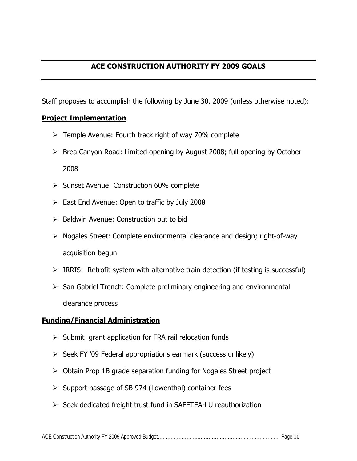#### **ACE CONSTRUCTION AUTHORITY FY 2009 GOALS**

<span id="page-12-0"></span>Staff proposes to accomplish the following by June 30, 2009 (unless otherwise noted):

#### <span id="page-12-1"></span>**Project Implementation**

- $\triangleright$  Temple Avenue: Fourth track right of way 70% complete
- $\triangleright$  Brea Canyon Road: Limited opening by August 2008; full opening by October 2008
- ▶ Sunset Avenue: Construction 60% complete
- $\triangleright$  East End Avenue: Open to traffic by July 2008
- $\triangleright$  Baldwin Avenue: Construction out to bid
- $\triangleright$  Nogales Street: Complete environmental clearance and design; right-of-way acquisition begun
- $\triangleright$  IRRIS: Retrofit system with alternative train detection (if testing is successful)
- $\triangleright$  San Gabriel Trench: Complete preliminary engineering and environmental clearance process

#### <span id="page-12-2"></span>**Funding/Financial Administration**

- $\triangleright$  Submit grant application for FRA rail relocation funds
- $\triangleright$  Seek FY '09 Federal appropriations earmark (success unlikely)
- $\triangleright$  Obtain Prop 1B grade separation funding for Nogales Street project
- $\triangleright$  Support passage of SB 974 (Lowenthal) container fees
- $\triangleright$  Seek dedicated freight trust fund in SAFETEA-LU reauthorization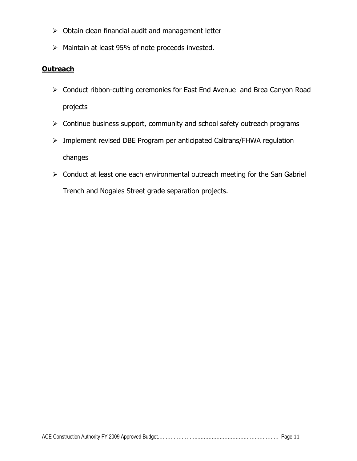- $\triangleright$  Obtain clean financial audit and management letter
- $\triangleright$  Maintain at least 95% of note proceeds invested.

#### <span id="page-13-0"></span>**Outreach**

- Conduct ribbon-cutting ceremonies for East End Avenue and Brea Canyon Road projects
- $\triangleright$  Continue business support, community and school safety outreach programs
- Implement revised DBE Program per anticipated Caltrans/FHWA regulation changes
- $\triangleright$  Conduct at least one each environmental outreach meeting for the San Gabriel Trench and Nogales Street grade separation projects.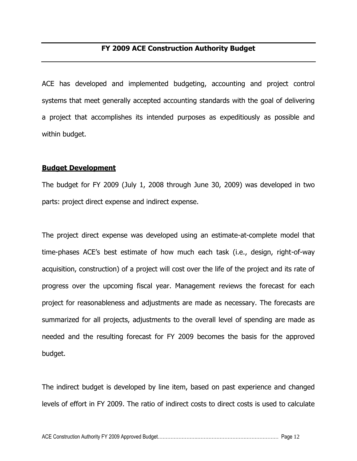#### **FY 2009 ACE Construction Authority Budget**

<span id="page-14-0"></span>ACE has developed and implemented budgeting, accounting and project control systems that meet generally accepted accounting standards with the goal of delivering a project that accomplishes its intended purposes as expeditiously as possible and within budget.

#### <span id="page-14-1"></span>**Budget Development**

The budget for FY 2009 (July 1, 2008 through June 30, 2009) was developed in two parts: project direct expense and indirect expense.

The project direct expense was developed using an estimate-at-complete model that time-phases ACE"s best estimate of how much each task (i.e., design, right-of-way acquisition, construction) of a project will cost over the life of the project and its rate of progress over the upcoming fiscal year. Management reviews the forecast for each project for reasonableness and adjustments are made as necessary. The forecasts are summarized for all projects, adjustments to the overall level of spending are made as needed and the resulting forecast for FY 2009 becomes the basis for the approved budget.

The indirect budget is developed by line item, based on past experience and changed levels of effort in FY 2009. The ratio of indirect costs to direct costs is used to calculate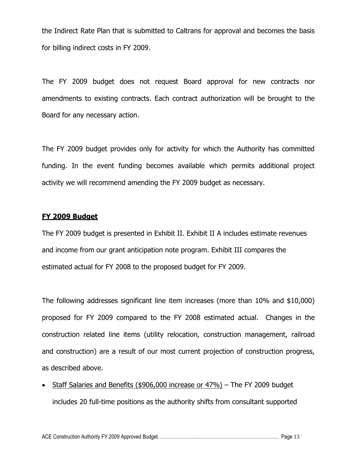the Indirect Rate Plan that is submitted to Caltrans for approval and becomes the basis for billing indirect costs in FY 2009.

The FY 2009 budget does not request Board approval for new contracts nor amendments to existing contracts. Each contract authorization will be brought to the Board for any necessary action.

The FY 2009 budget provides only for activity for which the Authority has committed funding. In the event funding becomes available which permits additional project activity we will recommend amending the FY 2009 budget as necessary.

#### <span id="page-15-0"></span>**FY 2009 Budget**

The FY 2009 budget is presented in Exhibit II. Exhibit II A includes estimate revenues and income from our grant anticipation note program. Exhibit III compares the estimated actual for FY 2008 to the proposed budget for FY 2009.

The following addresses significant line item increases (more than 10% and \$10,000) proposed for FY 2009 compared to the FY 2008 estimated actual. Changes in the construction related line items (utility relocation, construction management, railroad and construction) are a result of our most current projection of construction progress, as described above.

 Staff Salaries and Benefits (\$906,000 increase or 47%) – The FY 2009 budget includes 20 full-time positions as the authority shifts from consultant supported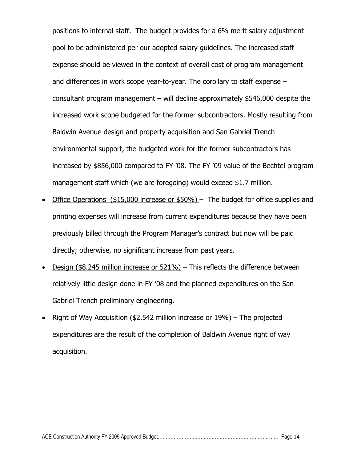positions to internal staff. The budget provides for a 6% merit salary adjustment pool to be administered per our adopted salary guidelines. The increased staff expense should be viewed in the context of overall cost of program management and differences in work scope year-to-year. The corollary to staff expense – consultant program management – will decline approximately \$546,000 despite the increased work scope budgeted for the former subcontractors. Mostly resulting from Baldwin Avenue design and property acquisition and San Gabriel Trench environmental support, the budgeted work for the former subcontractors has increased by \$856,000 compared to FY "08. The FY "09 value of the Bechtel program management staff which (we are foregoing) would exceed \$1.7 million.

- Office Operations (\$15,000 increase or \$50%) The budget for office supplies and printing expenses will increase from current expenditures because they have been previously billed through the Program Manager"s contract but now will be paid directly; otherwise, no significant increase from past years.
- Design (\$8.245 million increase or 521%) This reflects the difference between relatively little design done in FY "08 and the planned expenditures on the San Gabriel Trench preliminary engineering.
- Right of Way Acquisition (\$2.542 million increase or 19%) The projected expenditures are the result of the completion of Baldwin Avenue right of way acquisition.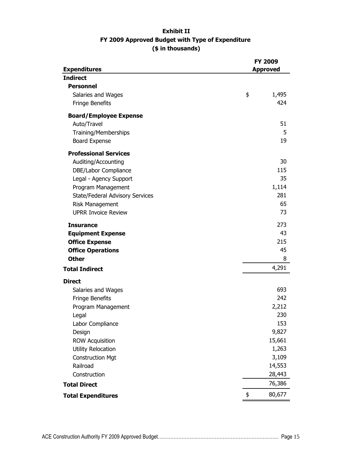#### **Exhibit II FY 2009 Approved Budget with Type of Expenditure (\$ in thousands)**

|                                 | FY 2009         |
|---------------------------------|-----------------|
| <b>Expenditures</b>             | <b>Approved</b> |
| <b>Indirect</b>                 |                 |
| <b>Personnel</b>                |                 |
| Salaries and Wages              | \$<br>1,495     |
| <b>Fringe Benefits</b>          | 424             |
| <b>Board/Employee Expense</b>   |                 |
| Auto/Travel                     | 51              |
| Training/Memberships            | 5               |
| <b>Board Expense</b>            | 19              |
| <b>Professional Services</b>    |                 |
| Auditing/Accounting             | 30              |
| DBE/Labor Compliance            | 115             |
| Legal - Agency Support          | 35              |
| Program Management              | 1,114           |
| State/Federal Advisory Services | 281             |
| <b>Risk Management</b>          | 65              |
| <b>UPRR Invoice Review</b>      | 73              |
| <b>Insurance</b>                | 273             |
| <b>Equipment Expense</b>        | 43              |
| <b>Office Expense</b>           | 215             |
| <b>Office Operations</b>        | 45              |
| <b>Other</b>                    | 8               |
| <b>Total Indirect</b>           | 4,291           |
| <b>Direct</b>                   |                 |
| Salaries and Wages              | 693             |
| Fringe Benefits                 | 242             |
| Program Management              | 2,212           |
| Legal                           | 230             |
| Labor Compliance                | 153             |
| Design                          | 9,827           |
| <b>ROW Acquisition</b>          | 15,661          |
| <b>Utility Relocation</b>       | 1,263           |
| <b>Construction Mgt</b>         | 3,109           |
| Railroad                        | 14,553          |
| Construction                    | 28,443          |
| <b>Total Direct</b>             | 76,386          |
| <b>Total Expenditures</b>       | \$<br>80,677    |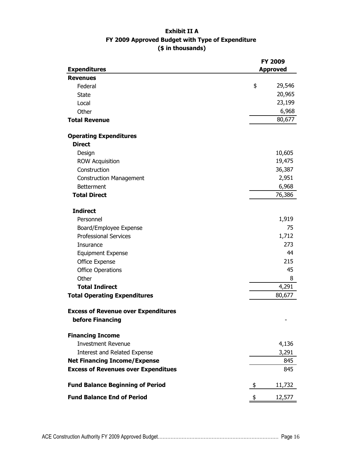#### **Exhibit II A FY 2009 Approved Budget with Type of Expenditure (\$ in thousands)**

|                                            | FY 2009         |  |
|--------------------------------------------|-----------------|--|
| <b>Expenditures</b>                        | <b>Approved</b> |  |
| <b>Revenues</b>                            |                 |  |
| Federal                                    | \$<br>29,546    |  |
| <b>State</b>                               | 20,965          |  |
| Local                                      | 23,199          |  |
| Other                                      | 6,968           |  |
| <b>Total Revenue</b>                       | 80,677          |  |
| <b>Operating Expenditures</b>              |                 |  |
| <b>Direct</b>                              |                 |  |
| Design                                     | 10,605          |  |
| <b>ROW Acquisition</b>                     | 19,475          |  |
| Construction                               | 36,387          |  |
| <b>Construction Management</b>             | 2,951           |  |
| <b>Betterment</b>                          | 6,968           |  |
| <b>Total Direct</b>                        | 76,386          |  |
| <b>Indirect</b>                            |                 |  |
| Personnel                                  | 1,919           |  |
| Board/Employee Expense                     | 75              |  |
| <b>Professional Services</b>               | 1,712           |  |
| Insurance                                  | 273             |  |
| <b>Equipment Expense</b>                   | 44              |  |
| Office Expense                             | 215             |  |
| <b>Office Operations</b>                   | 45              |  |
| Other                                      | 8               |  |
| <b>Total Indirect</b>                      | 4,291           |  |
| <b>Total Operating Expenditures</b>        | 80,677          |  |
|                                            |                 |  |
| <b>Excess of Revenue over Expenditures</b> |                 |  |
| before Financing                           |                 |  |
| <b>Financing Income</b>                    |                 |  |
| <b>Investment Revenue</b>                  | 4,136           |  |
| Interest and Related Expense               | 3,291           |  |
| <b>Net Financing Income/Expense</b>        | 845             |  |
| <b>Excess of Revenues over Expenditues</b> | 845             |  |
| <b>Fund Balance Beginning of Period</b>    | 11,732<br>\$    |  |
| <b>Fund Balance End of Period</b>          | 12,577<br>\$    |  |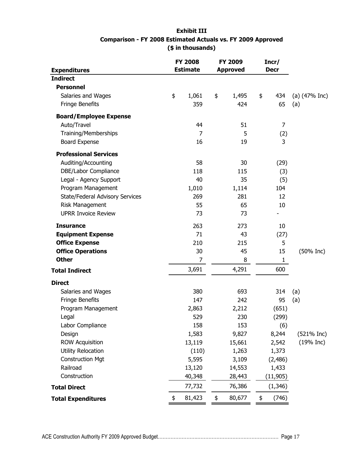#### **Exhibit III Comparison - FY 2008 Estimated Actuals vs. FY 2009 Approved (\$ in thousands)**

| <b>Expenditures</b>             | <b>FY 2008</b><br><b>Estimate</b> | FY 2009<br><b>Approved</b> | Incr/<br><b>Decr</b> |                 |
|---------------------------------|-----------------------------------|----------------------------|----------------------|-----------------|
| <b>Indirect</b>                 |                                   |                            |                      |                 |
| <b>Personnel</b>                |                                   |                            |                      |                 |
| Salaries and Wages              | \$<br>1,061                       | \$<br>1,495                | \$<br>434            | (a) $(47%$ Inc) |
| Fringe Benefits                 | 359                               | 424                        | 65                   | (a)             |
| <b>Board/Employee Expense</b>   |                                   |                            |                      |                 |
| Auto/Travel                     | 44                                | 51                         | 7                    |                 |
| <b>Training/Memberships</b>     | $\overline{7}$                    | 5                          | (2)                  |                 |
| <b>Board Expense</b>            | 16                                | 19                         | 3                    |                 |
| <b>Professional Services</b>    |                                   |                            |                      |                 |
| Auditing/Accounting             | 58                                | 30                         | (29)                 |                 |
| DBE/Labor Compliance            | 118                               | 115                        | (3)                  |                 |
| Legal - Agency Support          | 40                                | 35                         | (5)                  |                 |
| Program Management              | 1,010                             | 1,114                      | 104                  |                 |
| State/Federal Advisory Services | 269                               | 281                        | 12                   |                 |
| Risk Management                 | 55                                | 65                         | 10                   |                 |
| <b>UPRR Invoice Review</b>      | 73                                | 73                         |                      |                 |
| <b>Insurance</b>                | 263                               | 273                        | 10                   |                 |
| <b>Equipment Expense</b>        | 71                                | 43                         | (27)                 |                 |
| <b>Office Expense</b>           | 210                               | 215                        | 5                    |                 |
| <b>Office Operations</b>        | 30                                | 45                         | 15                   | $(50\%$ Inc)    |
| <b>Other</b>                    | 7                                 | 8                          | $\mathbf{1}$         |                 |
| <b>Total Indirect</b>           | 3,691                             | 4,291                      | 600                  |                 |
| <b>Direct</b>                   |                                   |                            |                      |                 |
| Salaries and Wages              | 380                               | 693                        | 314                  | (a)             |
| Fringe Benefits                 | 147                               | 242                        | 95                   | (a)             |
| Program Management              | 2,863                             | 2,212                      | (651)                |                 |
| Legal                           | 529                               | 230                        | (299)                |                 |
| Labor Compliance                | 158                               | 153                        | (6)                  |                 |
| Design                          | 1,583                             | 9,827                      | 8,244                | $(521\%$ Inc)   |
| <b>ROW Acquisition</b>          | 13,119                            | 15,661                     | 2,542                | $(19%$ Inc)     |
| <b>Utility Relocation</b>       | (110)                             | 1,263                      | 1,373                |                 |
| <b>Construction Mgt</b>         | 5,595                             | 3,109                      | (2,486)              |                 |
| Railroad                        | 13,120                            | 14,553                     | 1,433                |                 |
| Construction                    | 40,348                            | 28,443                     | (11, 905)            |                 |
| <b>Total Direct</b>             | 77,732                            | 76,386                     | (1, 346)             |                 |
| <b>Total Expenditures</b>       | \$<br>81,423                      | \$<br>80,677               | \$<br>(746)          |                 |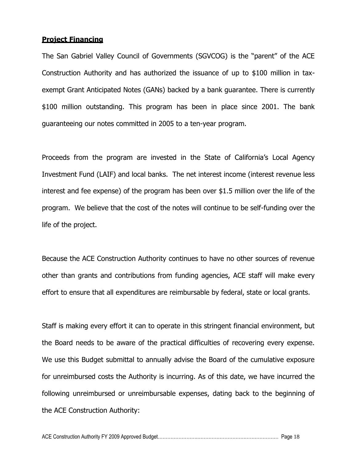#### <span id="page-20-0"></span>**Project Financing**

The San Gabriel Valley Council of Governments (SGVCOG) is the "parent" of the ACE Construction Authority and has authorized the issuance of up to \$100 million in taxexempt Grant Anticipated Notes (GANs) backed by a bank guarantee. There is currently \$100 million outstanding. This program has been in place since 2001. The bank guaranteeing our notes committed in 2005 to a ten-year program.

Proceeds from the program are invested in the State of California's Local Agency Investment Fund (LAIF) and local banks. The net interest income (interest revenue less interest and fee expense) of the program has been over \$1.5 million over the life of the program. We believe that the cost of the notes will continue to be self-funding over the life of the project.

Because the ACE Construction Authority continues to have no other sources of revenue other than grants and contributions from funding agencies, ACE staff will make every effort to ensure that all expenditures are reimbursable by federal, state or local grants.

Staff is making every effort it can to operate in this stringent financial environment, but the Board needs to be aware of the practical difficulties of recovering every expense. We use this Budget submittal to annually advise the Board of the cumulative exposure for unreimbursed costs the Authority is incurring. As of this date, we have incurred the following unreimbursed or unreimbursable expenses, dating back to the beginning of the ACE Construction Authority: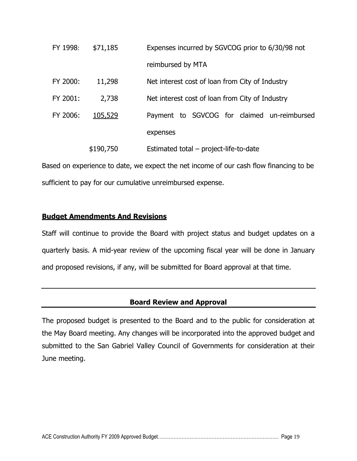| FY 1998: | \$71,185  | Expenses incurred by SGVCOG prior to 6/30/98 not |
|----------|-----------|--------------------------------------------------|
|          |           | reimbursed by MTA                                |
| FY 2000: | 11,298    | Net interest cost of loan from City of Industry  |
| FY 2001: | 2,738     | Net interest cost of loan from City of Industry  |
| FY 2006: | 105,529   | Payment to SGVCOG for claimed un-reimbursed      |
|          |           | expenses                                         |
|          | \$190,750 | Estimated total – project-life-to-date           |

Based on experience to date, we expect the net income of our cash flow financing to be sufficient to pay for our cumulative unreimbursed expense.

#### <span id="page-21-0"></span>**Budget Amendments And Revisions**

Staff will continue to provide the Board with project status and budget updates on a quarterly basis. A mid-year review of the upcoming fiscal year will be done in January and proposed revisions, if any, will be submitted for Board approval at that time.

#### **Board Review and Approval**

<span id="page-21-1"></span>The proposed budget is presented to the Board and to the public for consideration at the May Board meeting. Any changes will be incorporated into the approved budget and submitted to the San Gabriel Valley Council of Governments for consideration at their June meeting.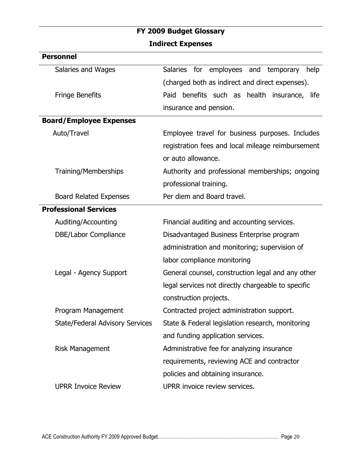### **FY 2009 Budget Glossary Indirect Expenses**

<span id="page-22-1"></span><span id="page-22-0"></span>

| <b>Personnel</b>                       |                                                        |
|----------------------------------------|--------------------------------------------------------|
| Salaries and Wages                     | <b>Salaries</b><br>for employees and temporary<br>help |
|                                        | (charged both as indirect and direct expenses).        |
| <b>Fringe Benefits</b>                 | Paid benefits such as health insurance, life           |
|                                        | insurance and pension.                                 |
| <b>Board/Employee Expenses</b>         |                                                        |
| Auto/Travel                            | Employee travel for business purposes. Includes        |
|                                        | registration fees and local mileage reimbursement      |
|                                        | or auto allowance.                                     |
| <b>Training/Memberships</b>            | Authority and professional memberships; ongoing        |
|                                        | professional training.                                 |
| <b>Board Related Expenses</b>          | Per diem and Board travel.                             |
| <b>Professional Services</b>           |                                                        |
| Auditing/Accounting                    | Financial auditing and accounting services.            |
| <b>DBE/Labor Compliance</b>            | Disadvantaged Business Enterprise program              |
|                                        | administration and monitoring; supervision of          |
|                                        | labor compliance monitoring                            |
| Legal - Agency Support                 | General counsel, construction legal and any other      |
|                                        | legal services not directly chargeable to specific     |
|                                        | construction projects.                                 |
| Program Management                     | Contracted project administration support.             |
| <b>State/Federal Advisory Services</b> | State & Federal legislation research, monitoring       |
|                                        | and funding application services.                      |
| <b>Risk Management</b>                 | Administrative fee for analyzing insurance             |
|                                        | requirements, reviewing ACE and contractor             |
|                                        | policies and obtaining insurance.                      |
| <b>UPRR Invoice Review</b>             | UPRR invoice review services.                          |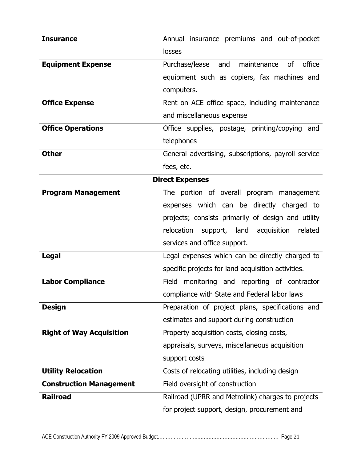<span id="page-23-0"></span>

| <b>Insurance</b>                | Annual insurance premiums and out-of-pocket                     |
|---------------------------------|-----------------------------------------------------------------|
|                                 | losses                                                          |
| <b>Equipment Expense</b>        | <sub>of</sub><br>office<br>Purchase/lease<br>maintenance<br>and |
|                                 | equipment such as copiers, fax machines and                     |
|                                 | computers.                                                      |
| <b>Office Expense</b>           | Rent on ACE office space, including maintenance                 |
|                                 | and miscellaneous expense                                       |
| <b>Office Operations</b>        | Office supplies, postage, printing/copying<br>and               |
|                                 | telephones                                                      |
| <b>Other</b>                    | General advertising, subscriptions, payroll service             |
|                                 | fees, etc.                                                      |
| <b>Direct Expenses</b>          |                                                                 |
| <b>Program Management</b>       | The portion of overall program management                       |
|                                 | expenses which can be directly charged to                       |
|                                 | projects; consists primarily of design and utility              |
|                                 | relocation<br>support, land acquisition<br>related              |
|                                 | services and office support.                                    |
| <b>Legal</b>                    | Legal expenses which can be directly charged to                 |
|                                 | specific projects for land acquisition activities.              |
| <b>Labor Compliance</b>         | Field monitoring and reporting of contractor                    |
|                                 | compliance with State and Federal labor laws                    |
| <b>Design</b>                   | Preparation of project plans, specifications and                |
|                                 | estimates and support during construction                       |
| <b>Right of Way Acquisition</b> | Property acquisition costs, closing costs,                      |
|                                 | appraisals, surveys, miscellaneous acquisition                  |
|                                 | support costs                                                   |
| <b>Utility Relocation</b>       | Costs of relocating utilities, including design                 |
| <b>Construction Management</b>  | Field oversight of construction                                 |
| <b>Railroad</b>                 | Railroad (UPRR and Metrolink) charges to projects               |
|                                 | for project support, design, procurement and                    |